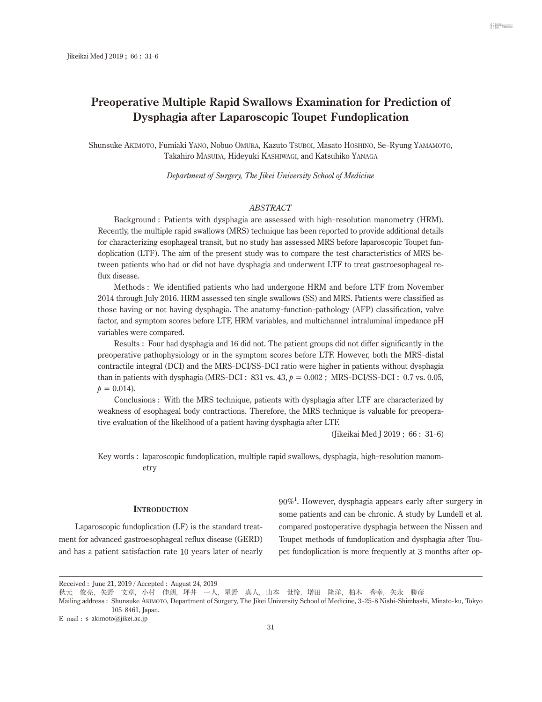# **Preoperative Multiple Rapid Swallows Examination for Prediction of Dysphagia after Laparoscopic Toupet Fundoplication**

Shunsuke Akimoto, Fumiaki Yano, Nobuo Omura, Kazuto Tsuboi, Masato Hoshino, Se-Ryung Yamamoto, Takahiro MASUDA, Hideyuki KASHIWAGI, and Katsuhiko YANAGA

*Department of Surgery, The Jikei University School of Medicine*

# *ABSTRACT*

Background : Patients with dysphagia are assessed with high-resolution manometry (HRM). Recently, the multiple rapid swallows (MRS) technique has been reported to provide additional details for characterizing esophageal transit, but no study has assessed MRS before laparoscopic Toupet fundoplication (LTF). The aim of the present study was to compare the test characteristics of MRS between patients who had or did not have dysphagia and underwent LTF to treat gastroesophageal reflux disease.

Methods : We identified patients who had undergone HRM and before LTF from November 2014 through July 2016. HRM assessed ten single swallows (SS) and MRS. Patients were classified as those having or not having dysphagia. The anatomy-function-pathology (AFP) classification, valve factor, and symptom scores before LTF, HRM variables, and multichannel intraluminal impedance pH variables were compared.

Results : Four had dysphagia and 16 did not. The patient groups did not differ significantly in the preoperative pathophysiology or in the symptom scores before LTF. However, both the MRS-distal contractile integral (DCI) and the MRS-DCI/SS-DCI ratio were higher in patients without dysphagia than in patients with dysphagia (MRS-DCI:  $831$  vs.  $43$ ,  $p = 0.002$ ; MRS-DCI/SS-DCI:  $0.7$  vs.  $0.05$ ,  $p = 0.014$ .

Conclusions : With the MRS technique, patients with dysphagia after LTF are characterized by weakness of esophageal body contractions. Therefore, the MRS technique is valuable for preoperative evaluation of the likelihood of a patient having dysphagia after LTF.

(Jikeikai Med J 2019 ; 66 : 31- 6)

Key words : laparoscopic fundoplication, multiple rapid swallows, dysphagia, high-resolution manometry

#### **Introduction**

Laparoscopic fundoplication (LF) is the standard treatment for advanced gastroesophageal reflux disease (GERD) and has a patient satisfaction rate 10 years later of nearly

90%1 . However, dysphagia appears early after surgery in some patients and can be chronic. A study by Lundell et al. compared postoperative dysphagia between the Nissen and Toupet methods of fundoplication and dysphagia after Toupet fundoplication is more frequently at 3 months after op-

Received : June 21, 2019 / Accepted : August 24, 2019

秋元 俊亮,矢野 文章,小村 伸朗,坪井 一人,星野 真人,山本 世怜,増田 隆洋,柏木 秀幸,矢永 勝彦

Mailing address : Shunsuke Akimoto, Department of Surgery, The Jikei University School of Medicine, 3- 25- 8 Nishi-Shimbashi, Minato-ku, Tokyo 105- 8461, Japan.

E-mail : s-akimoto@jikei.ac.jp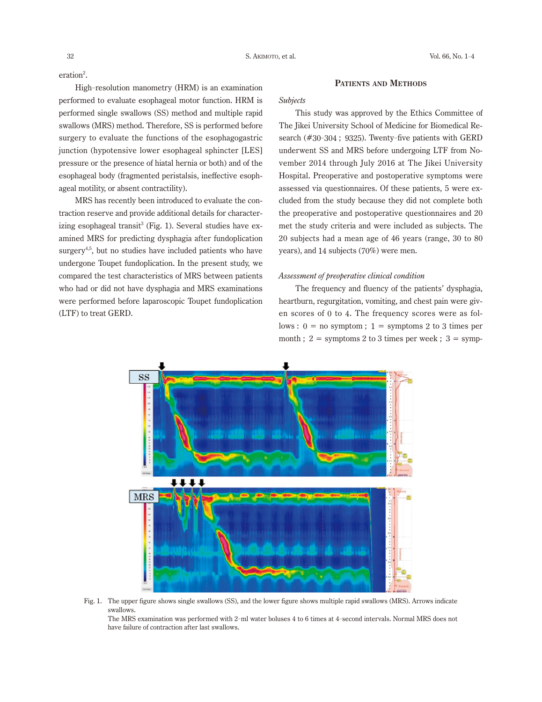eration<sup>2</sup>.

High-resolution manometry (HRM) is an examination performed to evaluate esophageal motor function. HRM is performed single swallows (SS) method and multiple rapid swallows (MRS) method. Therefore, SS is performed before surgery to evaluate the functions of the esophagogastric junction (hypotensive lower esophageal sphincter [LES] pressure or the presence of hiatal hernia or both) and of the esophageal body (fragmented peristalsis, ineffective esophageal motility, or absent contractility).

MRS has recently been introduced to evaluate the contraction reserve and provide additional details for characterizing esophageal transit<sup>3</sup> (Fig. 1). Several studies have examined MRS for predicting dysphagia after fundoplication surgery<sup>4,5</sup>, but no studies have included patients who have undergone Toupet fundoplication. In the present study, we compared the test characteristics of MRS between patients who had or did not have dysphagia and MRS examinations were performed before laparoscopic Toupet fundoplication (LTF) to treat GERD.

# **Patients and Methods**

#### *Subjects*

This study was approved by the Ethics Committee of The Jikei University School of Medicine for Biomedical Research (#30- <sup>304</sup> ; 9325). Twenty-five patients with GERD underwent SS and MRS before undergoing LTF from November 2014 through July 2016 at The Jikei University Hospital. Preoperative and postoperative symptoms were assessed via questionnaires. Of these patients, 5 were excluded from the study because they did not complete both the preoperative and postoperative questionnaires and 20 met the study criteria and were included as subjects. The 20 subjects had a mean age of 46 years (range, 30 to 80 years), and 14 subjects (70%) were men.

# *Assessment of preoperative clinical condition*

The frequency and fluency of the patients' dysphagia, heartburn, regurgitation, vomiting, and chest pain were given scores of 0 to 4. The frequency scores were as follows :  $0 =$  no symptom ;  $1 =$  symptoms 2 to 3 times per month;  $2 =$  symptoms 2 to 3 times per week;  $3 =$  symp-



Fig. 1. The upper figure shows single swallows (SS), and the lower figure shows multiple rapid swallows (MRS). Arrows indicate swallows.

The MRS examination was performed with 2- ml water boluses 4 to 6 times at 4- second intervals. Normal MRS does not have failure of contraction after last swallows.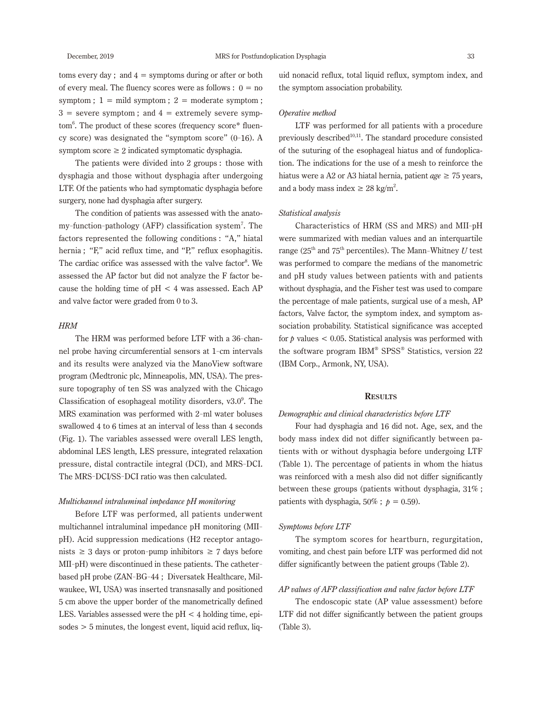toms every day; and  $4 =$  symptoms during or after or both of every meal. The fluency scores were as follows :  $0 = no$ symptom ;  $1 = \text{mild symptom}$ ;  $2 = \text{moderate symptom}$ ;  $3$  = severe symptom; and  $4$  = extremely severe symptom6 . The product of these scores (frequency score\* fluency score) was designated the "symptom score" (0- 16). A symptom score  $\geq 2$  indicated symptomatic dysphagia.

The patients were divided into 2 groups : those with dysphagia and those without dysphagia after undergoing LTF. Of the patients who had symptomatic dysphagia before surgery, none had dysphagia after surgery.

The condition of patients was assessed with the anatomy-function-pathology (AFP) classification system7 . The factors represented the following conditions : "A," hiatal hernia ; "F," acid reflux time, and "P," reflux esophagitis. The cardiac orifice was assessed with the valve factor<sup>8</sup>. We assessed the AP factor but did not analyze the F factor because the holding time of  $pH < 4$  was assessed. Each AP and valve factor were graded from 0 to 3.

#### *HRM*

The HRM was performed before LTF with a 36- channel probe having circumferential sensors at 1- cm intervals and its results were analyzed via the ManoView software program (Medtronic plc, Minneapolis, MN, USA). The pressure topography of ten SS was analyzed with the Chicago Classification of esophageal motility disorders,  $v3.0^\circ$ . The MRS examination was performed with 2- ml water boluses swallowed 4 to 6 times at an interval of less than 4 seconds (Fig. 1). The variables assessed were overall LES length, abdominal LES length, LES pressure, integrated relaxation pressure, distal contractile integral (DCI), and MRS-DCI. The MRS-DCI/SS-DCI ratio was then calculated.

#### *Multichannel intraluminal impedance pH monitoring*

Before LTF was performed, all patients underwent multichannel intraluminal impedance pH monitoring (MIIpH). Acid suppression medications (H2 receptor antagonists  $\geq 3$  days or proton-pump inhibitors  $\geq 7$  days before MII-pH) were discontinued in these patients. The catheterbased pH probe (ZAN-BG-44 ; Diversatek Healthcare, Milwaukee, WI, USA) was inserted transnasally and positioned 5 cm above the upper border of the manometrically defined LES. Variables assessed were the  $pH < 4$  holding time, epi $sodes > 5$  minutes, the longest event, liquid acid reflux, liquid nonacid reflux, total liquid reflux, symptom index, and the symptom association probability.

### *Operative method*

LTF was performed for all patients with a procedure previously described<sup>10,11</sup>. The standard procedure consisted of the suturing of the esophageal hiatus and of fundoplication. The indications for the use of a mesh to reinforce the hiatus were a A2 or A3 hiatal hernia, patient  $age \ge 75$  years, and a body mass index  $\geq 28$  kg/m<sup>2</sup>.

#### *Statistical analysis*

Characteristics of HRM (SS and MRS) and MII-pH were summarized with median values and an interquartile range  $(25<sup>th</sup>$  and  $75<sup>th</sup>$  percentiles). The Mann-Whitney U test was performed to compare the medians of the manometric and pH study values between patients with and patients without dysphagia, and the Fisher test was used to compare the percentage of male patients, surgical use of a mesh, AP factors, Valve factor, the symptom index, and symptom association probability. Statistical significance was accepted for  $p$  values  $\lt$  0.05. Statistical analysis was performed with the software program IBM® SPSS® Statistics, version 22 (IBM Corp., Armonk, NY, USA).

# **Results**

### *Demographic and clinical characteristics before LTF*

Four had dysphagia and 16 did not. Age, sex, and the body mass index did not differ significantly between patients with or without dysphagia before undergoing LTF (Table 1). The percentage of patients in whom the hiatus was reinforced with a mesh also did not differ significantly between these groups (patients without dysphagia, 31% ; patients with dysphagia,  $50\%$ ;  $p = 0.59$ ).

#### *Symptoms before LTF*

The symptom scores for heartburn, regurgitation, vomiting, and chest pain before LTF was performed did not differ significantly between the patient groups (Table 2).

# *AP values of AFP classification and valve factor before LTF*

The endoscopic state (AP value assessment) before LTF did not differ significantly between the patient groups (Table 3).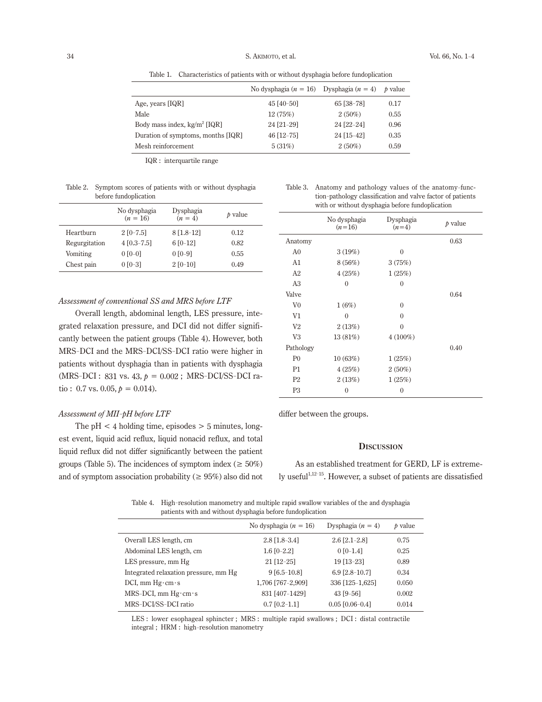Table 1. Characteristics of patients with or without dysphagia before fundoplication

|                                    | No dysphagia ( $n = 16$ ) Dysphagia ( $n = 4$ ) p value |            |      |
|------------------------------------|---------------------------------------------------------|------------|------|
| Age, years $[IQR]$                 | $45\,[40-50]$                                           | 65 [38-78] | 0.17 |
| Male                               | 12(75%)                                                 | $2(50\%)$  | 0.55 |
| Body mass index, $kg/m^2$ [IQR]    | 24 [21-29]                                              | 24 [22-24] | 0.96 |
| Duration of symptoms, months [IQR] | $46$ [12-75]                                            | 24 [15-42] | 0.35 |
| Mesh reinforcement                 | 5(31%)                                                  | $2(50\%)$  | 0.59 |

IQR : interquartile range

Table 2. Symptom scores of patients with or without dysphagia before fundoplication

|               | No dysphagia<br>$(n = 16)$ | Dysphagia<br>$(n = 4)$ | $b$ value |
|---------------|----------------------------|------------------------|-----------|
| Heartburn     | $2$ [0-7.5]                | $8[1.8-12]$            | 0.12      |
| Regurgitation | $4\,[0.3-7.5]$             | $6 [0-12]$             | 0.82      |
| Vomiting      | $0$ [0-0]                  | $0$ [0-9]              | 0.55      |
| Chest pain    | $0.00 - 31$                | $2 [0-10]$             | 0.49      |

# *Assessment of conventional SS and MRS before LTF*

Overall length, abdominal length, LES pressure, integrated relaxation pressure, and DCI did not differ significantly between the patient groups (Table 4). However, both MRS-DCI and the MRS-DCI/SS-DCI ratio were higher in patients without dysphagia than in patients with dysphagia  $(MRS-DCI: 831 vs. 43, p = 0.002; MRS-DCI/SS-DCI$  ratio :  $0.7$  vs.  $0.05$ ,  $p = 0.014$ ).

# *Assessment of MII*-*pH before LTF*

The  $pH < 4$  holding time, episodes  $> 5$  minutes, longest event, liquid acid reflux, liquid nonacid reflux, and total liquid reflux did not differ significantly between the patient groups (Table 5). The incidences of symptom index ( $\geq 50\%$ ) and of symptom association probability ( $\geq 95\%$ ) also did not

| Table 3. | Anatomy and pathology values of the anatomy-func-          |
|----------|------------------------------------------------------------|
|          | tion-pathology classification and valve factor of patients |
|          | with or without dysphagia before fundoplication            |

|                | No dysphagia<br>$(n=16)$ | Dysphagia<br>$(n=4)$ | $b$ value |
|----------------|--------------------------|----------------------|-----------|
| Anatomy        |                          |                      | 0.63      |
| A <sub>0</sub> | 3(19%)                   | $\theta$             |           |
| A1             | 8(56%)                   | 3(75%)               |           |
| A2             | 4(25%)                   | 1(25%)               |           |
| A <sub>3</sub> | $\mathbf{0}$             | $\mathbf{0}$         |           |
| Valve          |                          |                      | 0.64      |
| V <sub>0</sub> | 1(6%)                    | $\theta$             |           |
| V <sub>1</sub> | $\theta$                 | $\theta$             |           |
| V <sub>2</sub> | 2(13%)                   | $\theta$             |           |
| V <sub>3</sub> | 13 (81%)                 | $4(100\%)$           |           |
| Pathology      |                          |                      | 0.40      |
| P <sub>0</sub> | 10(63%)                  | 1(25%)               |           |
| P <sub>1</sub> | 4(25%)                   | 2(50%)               |           |
| P <sub>2</sub> | 2(13%)                   | 1(25%)               |           |
| P3             | $\mathbf{0}$             | $\mathbf{0}$         |           |

differ between the groups.

#### **Discussion**

As an established treatment for GERD, LF is extremely useful<sup>1,12-15</sup>. However, a subset of patients are dissatisfied

Table 4. High-resolution manometry and multiple rapid swallow variables of the and dysphagia patients with and without dysphagia before fundoplication

|                                       | No dysphagia $(n = 16)$ | Dysphagia $(n = 4)$   | $b$ value |
|---------------------------------------|-------------------------|-----------------------|-----------|
| Overall LES length, cm                | $2.8$ [1.8-3.4]         | $2.6$ [ $2.1 - 2.8$ ] | 0.75      |
| Abdominal LES length, cm              | $1.6$ [0-2.2]           | $0$ [0-1.4]           | 0.25      |
| LES pressure, mm Hg                   | $21$ [12-25]            | 19 [13-23]            | 0.89      |
| Integrated relaxation pressure, mm Hg | $9[6.5-10.8]$           | $6.9$ [2.8-10.7]      | 0.34      |
| $DCI$ , mm $Hg \cdot cm \cdot s$      | 1,706 [767-2,909]       | 336 [125-1,625]       | 0.050     |
| $MRS-DCI$ , mm $Hg\cdot cm\cdot s$    | 831 [407-1429]          | $43$ [9-56]           | 0.002     |
| MRS-DCI/SS-DCI ratio                  | $0.7$ [0.2-1.1]         | $0.05$ [0.06-0.4]     | 0.014     |

LES : lower esophageal sphincter ; MRS : multiple rapid swallows ; DCI : distal contractile integral ; HRM : high-resolution manometry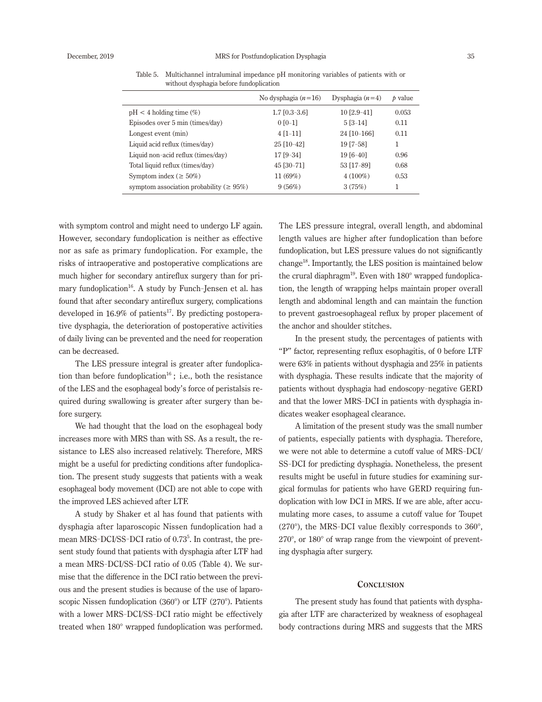| No dysphagia $(n=16)$ | Dysphagia $(n=4)$ | $b$ value |
|-----------------------|-------------------|-----------|
| $1.7$ [0.3-3.6]       | $10[2.9-41]$      | 0.053     |
| $0$ [0-1]             | $5[3-14]$         | 0.11      |
| $4$ [1-11]            | 24 [10-166]       | 0.11      |
| 25 [10-42]            | 19 [7-58]         | 1         |
| 17 [9-34]             | $19[6-40]$        | 0.96      |
| $45$ [30-71]          | 53 [17-89]        | 0.68      |
| 11(69%)               | $4(100\%)$        | 0.53      |
| 9(56%)                | 3(75%)            | 1         |
|                       |                   |           |

Table 5. Multichannel intraluminal impedance pH monitoring variables of patients with or without dysphagia before fundoplication

with symptom control and might need to undergo LF again. However, secondary fundoplication is neither as effective nor as safe as primary fundoplication. For example, the risks of intraoperative and postoperative complications are much higher for secondary antireflux surgery than for primary fundoplication<sup>16</sup>. A study by Funch-Jensen et al. has found that after secondary antireflux surgery, complications developed in  $16.9\%$  of patients<sup>17</sup>. By predicting postoperative dysphagia, the deterioration of postoperative activities of daily living can be prevented and the need for reoperation can be decreased.

The LES pressure integral is greater after fundoplication than before fundoplication<sup>16</sup>; i.e., both the resistance of the LES and the esophageal body's force of peristalsis required during swallowing is greater after surgery than before surgery.

We had thought that the load on the esophageal body increases more with MRS than with SS. As a result, the resistance to LES also increased relatively. Therefore, MRS might be a useful for predicting conditions after fundoplication. The present study suggests that patients with a weak esophageal body movement (DCI) are not able to cope with the improved LES achieved after LTF.

A study by Shaker et al has found that patients with dysphagia after laparoscopic Nissen fundoplication had a mean MRS-DCI/SS-DCI ratio of 0.73<sup>5</sup>. In contrast, the present study found that patients with dysphagia after LTF had a mean MRS-DCI/SS-DCI ratio of 0.05 (Table 4). We surmise that the difference in the DCI ratio between the previous and the present studies is because of the use of laparoscopic Nissen fundoplication (360°) or LTF (270°). Patients with a lower MRS-DCI/SS-DCI ratio might be effectively treated when 180° wrapped fundoplication was performed.

The LES pressure integral, overall length, and abdominal length values are higher after fundoplication than before fundoplication, but LES pressure values do not significantly change18. Importantly, the LES position is maintained below the crural diaphragm<sup>19</sup>. Even with  $180^\circ$  wrapped fundoplication, the length of wrapping helps maintain proper overall length and abdominal length and can maintain the function to prevent gastroesophageal reflux by proper placement of the anchor and shoulder stitches.

In the present study, the percentages of patients with "P" factor, representing reflux esophagitis, of 0 before LTF were 63% in patients without dysphagia and 25% in patients with dysphagia. These results indicate that the majority of patients without dysphagia had endoscopy-negative GERD and that the lower MRS-DCI in patients with dysphagia indicates weaker esophageal clearance.

A limitation of the present study was the small number of patients, especially patients with dysphagia. Therefore, we were not able to determine a cutoff value of MRS-DCI/ SS-DCI for predicting dysphagia. Nonetheless, the present results might be useful in future studies for examining surgical formulas for patients who have GERD requiring fundoplication with low DCI in MRS. If we are able, after accumulating more cases, to assume a cutoff value for Toupet (270°), the MRS-DCI value flexibly corresponds to 360°, 270°, or 180° of wrap range from the viewpoint of preventing dysphagia after surgery.

#### **Conclusion**

The present study has found that patients with dysphagia after LTF are characterized by weakness of esophageal body contractions during MRS and suggests that the MRS